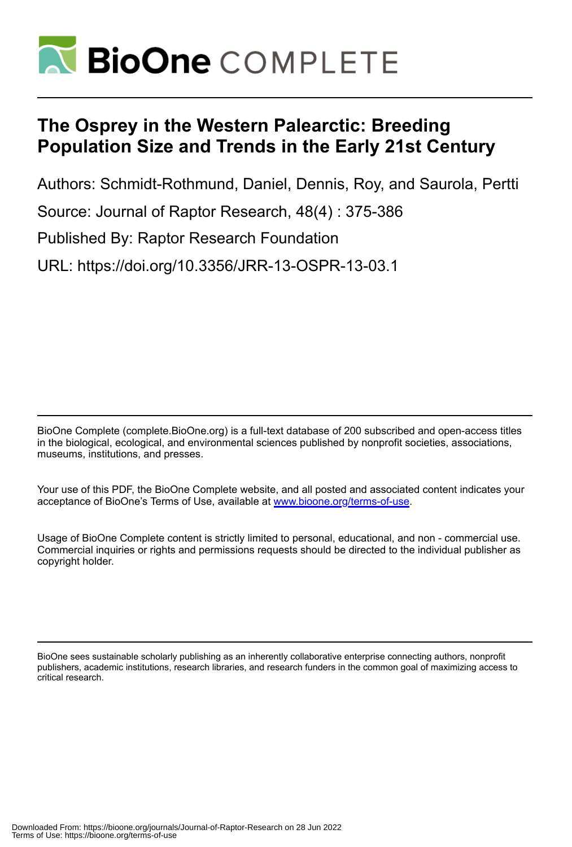

# **The Osprey in the Western Palearctic: Breeding Population Size and Trends in the Early 21st Century**

Authors: Schmidt-Rothmund, Daniel, Dennis, Roy, and Saurola, Pertti Source: Journal of Raptor Research, 48(4) : 375-386 Published By: Raptor Research Foundation URL: https://doi.org/10.3356/JRR-13-OSPR-13-03.1

BioOne Complete (complete.BioOne.org) is a full-text database of 200 subscribed and open-access titles in the biological, ecological, and environmental sciences published by nonprofit societies, associations, museums, institutions, and presses.

Your use of this PDF, the BioOne Complete website, and all posted and associated content indicates your acceptance of BioOne's Terms of Use, available at www.bioone.org/terms-of-use.

Usage of BioOne Complete content is strictly limited to personal, educational, and non - commercial use. Commercial inquiries or rights and permissions requests should be directed to the individual publisher as copyright holder.

BioOne sees sustainable scholarly publishing as an inherently collaborative enterprise connecting authors, nonprofit publishers, academic institutions, research libraries, and research funders in the common goal of maximizing access to critical research.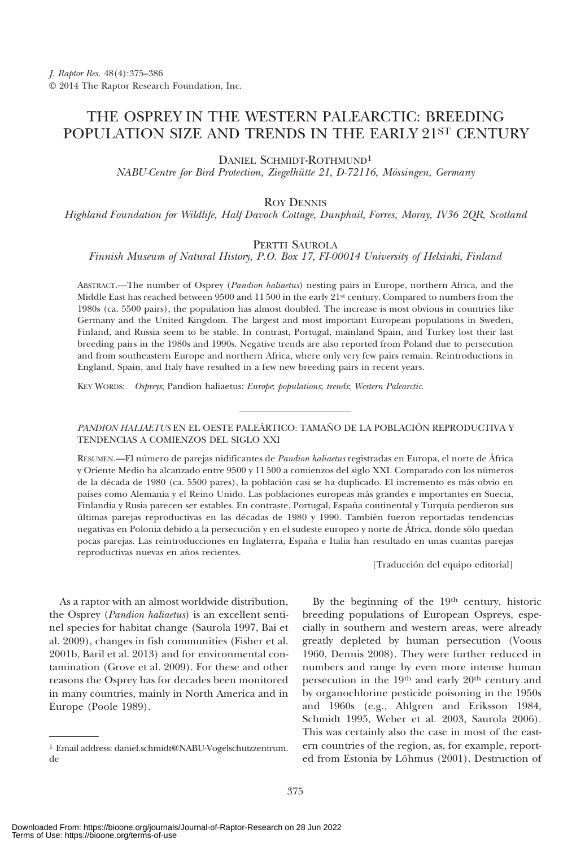## THE OSPREY IN THE WESTERN PALEARCTIC: BREEDING POPULATION SIZE AND TRENDS IN THE EARLY 21ST CENTURY

DANIEL SCHMIDT-ROTHMUND1

NABU-Centre for Bird Protection, Ziegelhütte 21, D-72116, Mössingen, Germany

ROY DENNIS

Highland Foundation for Wildlife, Half Davoch Cottage, Dunphail, Forres, Moray, IV36 2QR, Scotland

### PERTTI SAUROLA

Finnish Museum of Natural History, P.O. Box 17, FI-00014 University of Helsinki, Finland

ABSTRACT.—The number of Osprey (Pandion haliaetus) nesting pairs in Europe, northern Africa, and the Middle East has reached between 9500 and 11 500 in the early 21st century. Compared to numbers from the 1980s (ca. 5500 pairs), the population has almost doubled. The increase is most obvious in countries like Germany and the United Kingdom. The largest and most important European populations in Sweden, Finland, and Russia seem to be stable. In contrast, Portugal, mainland Spain, and Turkey lost their last breeding pairs in the 1980s and 1990s. Negative trends are also reported from Poland due to persecution and from southeastern Europe and northern Africa, where only very few pairs remain. Reintroductions in England, Spain, and Italy have resulted in a few new breeding pairs in recent years.

KEY WORDS: Ospreys; Pandion haliaetus; Europe; populations; trends; Western Palearctic.

PANDION HALIAETUS EN EL OESTE PALEÁRTICO: TAMAÑO DE LA POBLACIÓN REPRODUCTIVA Y TENDENCIAS A COMIENZOS DEL SIGLO XXI

RESUMEN.—El número de parejas nidificantes de Pandion haliaetus registradas en Europa, el norte de África y Oriente Medio ha alcanzado entre 9500 y 11 500 a comienzos del siglo XXI. Comparado con los números de la década de 1980 (ca. 5500 pares), la población casi se ha duplicado. El incremento es más obvio en países como Alemania y el Reino Unido. Las poblaciones europeas más grandes e importantes en Suecia, Finlandia y Rusia parecen ser estables. En contraste, Portugal, España continental y Turquía perdieron sus últimas parejas reproductivas en las décadas de 1980 y 1990. También fueron reportadas tendencias negativas en Polonia debido a la persecución y en el sudeste europeo y norte de África, donde sólo quedan pocas parejas. Las reintroducciones en Inglaterra, España e Italia han resultado en unas cuantas parejas reproductivas nuevas en años recientes.

[Traducción del equipo editorial]

As a raptor with an almost worldwide distribution, the Osprey (Pandion haliaetus) is an excellent sentinel species for habitat change (Saurola 1997, Bai et al. 2009), changes in fish communities (Fisher et al. 2001b, Baril et al. 2013) and for environmental contamination (Grove et al. 2009). For these and other reasons the Osprey has for decades been monitored in many countries, mainly in North America and in Europe (Poole 1989).

By the beginning of the 19th century, historic breeding populations of European Ospreys, especially in southern and western areas, were already greatly depleted by human persecution (Voous 1960, Dennis 2008). They were further reduced in numbers and range by even more intense human persecution in the 19th and early 20th century and by organochlorine pesticide poisoning in the 1950s and 1960s (e.g., Ahlgren and Eriksson 1984, Schmidt 1995, Weber et al. 2003, Saurola 2006). This was certainly also the case in most of the eastern countries of the region, as, for example, reported from Estonia by Lõhmus (2001). Destruction of

<sup>1</sup> Email address: daniel.schmidt@NABU-Vogelschutzzentrum. de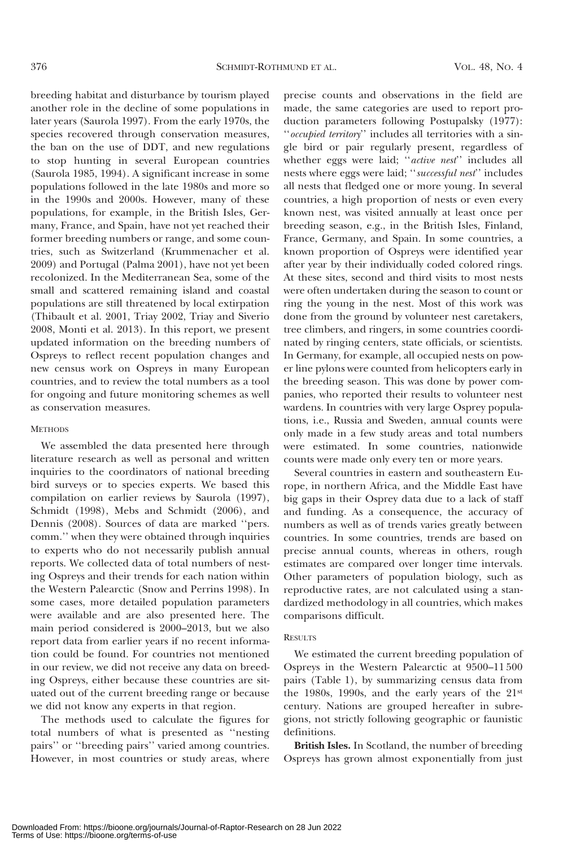breeding habitat and disturbance by tourism played another role in the decline of some populations in later years (Saurola 1997). From the early 1970s, the species recovered through conservation measures, the ban on the use of DDT, and new regulations to stop hunting in several European countries (Saurola 1985, 1994). A significant increase in some populations followed in the late 1980s and more so in the 1990s and 2000s. However, many of these populations, for example, in the British Isles, Germany, France, and Spain, have not yet reached their former breeding numbers or range, and some countries, such as Switzerland (Krummenacher et al. 2009) and Portugal (Palma 2001), have not yet been recolonized. In the Mediterranean Sea, some of the small and scattered remaining island and coastal populations are still threatened by local extirpation (Thibault et al. 2001, Triay 2002, Triay and Siverio 2008, Monti et al. 2013). In this report, we present updated information on the breeding numbers of Ospreys to reflect recent population changes and new census work on Ospreys in many European countries, and to review the total numbers as a tool for ongoing and future monitoring schemes as well as conservation measures.

### **METHODS**

We assembled the data presented here through literature research as well as personal and written inquiries to the coordinators of national breeding bird surveys or to species experts. We based this compilation on earlier reviews by Saurola (1997), Schmidt (1998), Mebs and Schmidt (2006), and Dennis (2008). Sources of data are marked ''pers. comm.'' when they were obtained through inquiries to experts who do not necessarily publish annual reports. We collected data of total numbers of nesting Ospreys and their trends for each nation within the Western Palearctic (Snow and Perrins 1998). In some cases, more detailed population parameters were available and are also presented here. The main period considered is 2000–2013, but we also report data from earlier years if no recent information could be found. For countries not mentioned in our review, we did not receive any data on breeding Ospreys, either because these countries are situated out of the current breeding range or because we did not know any experts in that region.

The methods used to calculate the figures for total numbers of what is presented as ''nesting pairs'' or ''breeding pairs'' varied among countries. However, in most countries or study areas, where precise counts and observations in the field are made, the same categories are used to report production parameters following Postupalsky (1977): ''occupied territory'' includes all territories with a single bird or pair regularly present, regardless of whether eggs were laid; "*active nest*" includes all nests where eggs were laid; ''successful nest'' includes all nests that fledged one or more young. In several countries, a high proportion of nests or even every known nest, was visited annually at least once per breeding season, e.g., in the British Isles, Finland, France, Germany, and Spain. In some countries, a known proportion of Ospreys were identified year after year by their individually coded colored rings. At these sites, second and third visits to most nests were often undertaken during the season to count or ring the young in the nest. Most of this work was done from the ground by volunteer nest caretakers, tree climbers, and ringers, in some countries coordinated by ringing centers, state officials, or scientists. In Germany, for example, all occupied nests on power line pylons were counted from helicopters early in the breeding season. This was done by power companies, who reported their results to volunteer nest wardens. In countries with very large Osprey populations, i.e., Russia and Sweden, annual counts were only made in a few study areas and total numbers were estimated. In some countries, nationwide counts were made only every ten or more years.

Several countries in eastern and southeastern Europe, in northern Africa, and the Middle East have big gaps in their Osprey data due to a lack of staff and funding. As a consequence, the accuracy of numbers as well as of trends varies greatly between countries. In some countries, trends are based on precise annual counts, whereas in others, rough estimates are compared over longer time intervals. Other parameters of population biology, such as reproductive rates, are not calculated using a standardized methodology in all countries, which makes comparisons difficult.

### **RESULTS**

We estimated the current breeding population of Ospreys in the Western Palearctic at 9500–11 500 pairs (Table 1), by summarizing census data from the 1980s, 1990s, and the early years of the 21st century. Nations are grouped hereafter in subregions, not strictly following geographic or faunistic definitions.

British Isles. In Scotland, the number of breeding Ospreys has grown almost exponentially from just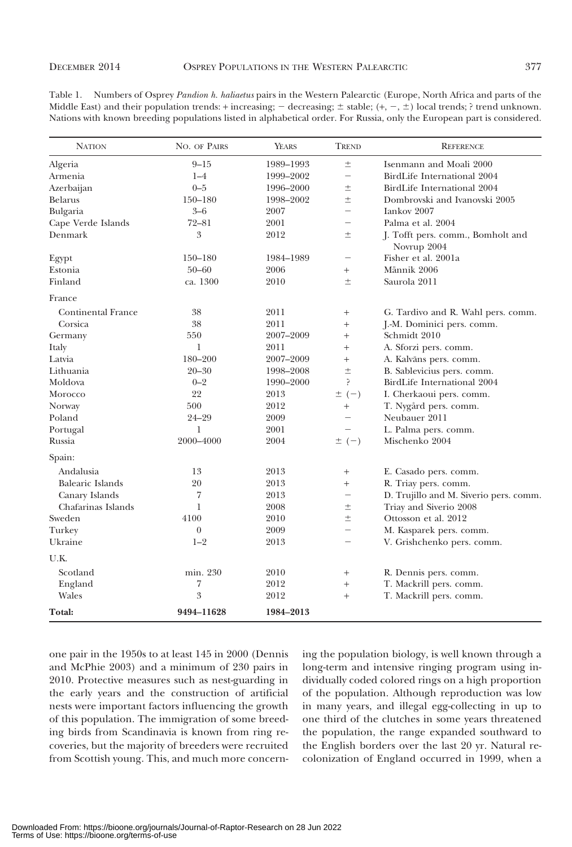| <b>NATION</b>             | NO. OF PAIRS   | YEARS     | TREND                        | <b>REFERENCE</b>                       |
|---------------------------|----------------|-----------|------------------------------|----------------------------------------|
| Algeria                   | $9 - 15$       | 1989–1993 | 土                            | Isenmann and Moali 2000                |
| Armenia                   | $1 - 4$        | 1999-2002 | $\overline{\phantom{0}}$     | BirdLife International 2004            |
| Azerbaijan                | $0 - 5$        | 1996-2000 | $\pm$                        | BirdLife International 2004            |
| <b>Belarus</b>            | $150 - 180$    | 1998-2002 | $\pm$                        | Dombrovski and Ivanovski 2005          |
| Bulgaria                  | $3 - 6$        | 2007      | $\equiv$                     | Iankov <sub>2007</sub>                 |
| Cape Verde Islands        | $72 - 81$      | 2001      | $\overline{\phantom{0}}$     | Palma et al. 2004                      |
| Denmark                   | $\overline{3}$ | 2012      | $\pm$                        | J. Tofft pers. comm., Bomholt and      |
|                           |                |           |                              | Novrup 2004                            |
| Egypt                     | $150 - 180$    | 1984–1989 | $\overline{\phantom{0}}$     | Fisher et al. 2001a                    |
| Estonia                   | $50 - 60$      | 2006      | $^{+}$                       | Männik 2006                            |
| Finland                   | ca. 1300       | 2010      | $\pm$                        | Saurola 2011                           |
| France                    |                |           |                              |                                        |
| <b>Continental France</b> | 38             | 2011      | $^{+}$                       | G. Tardivo and R. Wahl pers. comm.     |
| Corsica                   | 38             | 2011      | $+$                          | J.-M. Dominici pers. comm.             |
| Germany                   | 550            | 2007-2009 | $\! + \!\!\!\!$              | Schmidt 2010                           |
| Italy                     | 1              | 2011      | $+$                          | A. Sforzi pers. comm.                  |
| Latvia                    | 180-200        | 2007-2009 | $^{+}$                       | A. Kalvāns pers. comm.                 |
| Lithuania                 | $20 - 30$      | 1998-2008 | $\pm$                        | B. Sablevicius pers. comm.             |
| Moldova                   | $0 - 2$        | 1990-2000 | ç.                           | BirdLife International 2004            |
| Morocco                   | 22             | 2013      | $\pm$ (-)                    | I. Cherkaoui pers. comm.               |
| Norway                    | 500            | 2012      | $\! + \!\!\!\!$              | T. Nygård pers. comm.                  |
| Poland                    | 24–29          | 2009      | $\qquad \qquad -$            | Neubauer 2011                          |
| Portugal                  | 1              | 2001      |                              | L. Palma pers. comm.                   |
| Russia                    | 2000-4000      | 2004      | $\pm$ (-)                    | Mischenko 2004                         |
| Spain:                    |                |           |                              |                                        |
| Andalusia                 | 13             | 2013      | $\! + \!\!\!\!$              | E. Casado pers. comm.                  |
| Balearic Islands          | 20             | 2013      | $^{+}$                       | R. Triay pers. comm.                   |
| Canary Islands            | 7              | 2013      | $\overbrace{\qquad \qquad }$ | D. Trujillo and M. Siverio pers. comm. |
| Chafarinas Islands        | 1              | 2008      | $\pm$                        | Triay and Siverio 2008                 |
| Sweden                    | 4100           | 2010      | $\pm$                        | Ottosson et al. 2012                   |
| Turkey                    | $\theta$       | 2009      | $\overline{\phantom{0}}$     | M. Kasparek pers. comm.                |
| Ukraine                   | $1 - 2$        | 2013      | $\overline{\phantom{a}}$     | V. Grishchenko pers. comm.             |
| U.K.                      |                |           |                              |                                        |
| Scotland                  | min. 230       | 2010      | $^{+}$                       | R. Dennis pers. comm.                  |
| England                   | 7              | 2012      | $^{+}$                       | T. Mackrill pers. comm.                |
| Wales                     | 3              | 2012      | $^{+}$                       | T. Mackrill pers. comm.                |
| Total:                    | 9494-11628     | 1984-2013 |                              |                                        |

Table 1. Numbers of Osprey Pandion h. haliaetus pairs in the Western Palearctic (Europe, North Africa and parts of the Middle East) and their population trends: + increasing; - decreasing;  $\pm$  stable; (+, -,  $\pm$ ) local trends; ? trend unknown. Nations with known breeding populations listed in alphabetical order. For Russia, only the European part is considered.

one pair in the 1950s to at least 145 in 2000 (Dennis and McPhie 2003) and a minimum of 230 pairs in 2010. Protective measures such as nest-guarding in the early years and the construction of artificial nests were important factors influencing the growth of this population. The immigration of some breeding birds from Scandinavia is known from ring recoveries, but the majority of breeders were recruited from Scottish young. This, and much more concerning the population biology, is well known through a long-term and intensive ringing program using individually coded colored rings on a high proportion of the population. Although reproduction was low in many years, and illegal egg-collecting in up to one third of the clutches in some years threatened the population, the range expanded southward to the English borders over the last 20 yr. Natural recolonization of England occurred in 1999, when a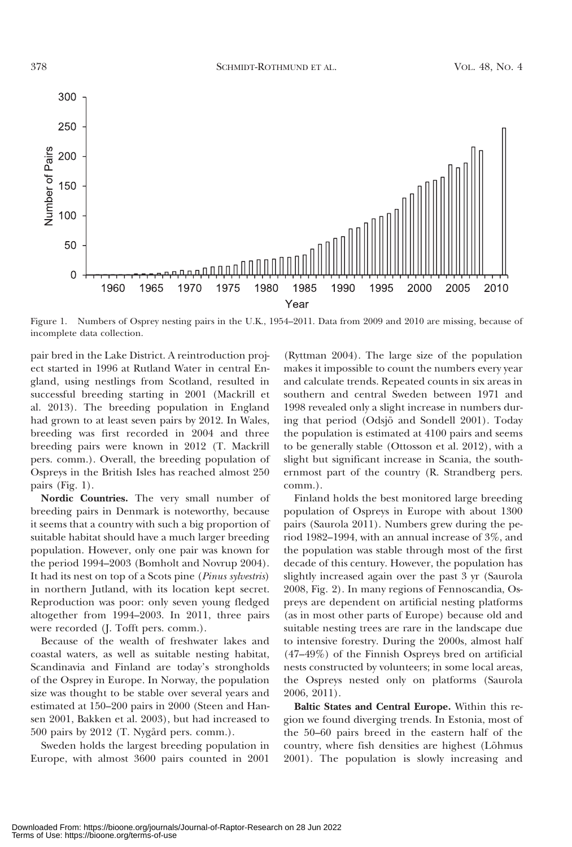

Figure 1. Numbers of Osprey nesting pairs in the U.K., 1954–2011. Data from 2009 and 2010 are missing, because of incomplete data collection.

pair bred in the Lake District. A reintroduction project started in 1996 at Rutland Water in central England, using nestlings from Scotland, resulted in successful breeding starting in 2001 (Mackrill et al. 2013). The breeding population in England had grown to at least seven pairs by 2012. In Wales, breeding was first recorded in 2004 and three breeding pairs were known in 2012 (T. Mackrill pers. comm.). Overall, the breeding population of Ospreys in the British Isles has reached almost 250 pairs (Fig. 1).

Nordic Countries. The very small number of breeding pairs in Denmark is noteworthy, because it seems that a country with such a big proportion of suitable habitat should have a much larger breeding population. However, only one pair was known for the period 1994–2003 (Bomholt and Novrup 2004). It had its nest on top of a Scots pine (Pinus sylvestris) in northern Jutland, with its location kept secret. Reproduction was poor: only seven young fledged altogether from 1994–2003. In 2011, three pairs were recorded (J. Tofft pers. comm.).

Because of the wealth of freshwater lakes and coastal waters, as well as suitable nesting habitat, Scandinavia and Finland are today's strongholds of the Osprey in Europe. In Norway, the population size was thought to be stable over several years and estimated at 150–200 pairs in 2000 (Steen and Hansen 2001, Bakken et al. 2003), but had increased to 500 pairs by 2012 (T. Nygård pers. comm.).

Sweden holds the largest breeding population in Europe, with almost 3600 pairs counted in 2001

(Ryttman 2004). The large size of the population makes it impossible to count the numbers every year and calculate trends. Repeated counts in six areas in southern and central Sweden between 1971 and 1998 revealed only a slight increase in numbers during that period (Odsjo¨ and Sondell 2001). Today the population is estimated at 4100 pairs and seems to be generally stable (Ottosson et al. 2012), with a slight but significant increase in Scania, the southernmost part of the country (R. Strandberg pers. comm.).

Finland holds the best monitored large breeding population of Ospreys in Europe with about 1300 pairs (Saurola 2011). Numbers grew during the period 1982–1994, with an annual increase of 3%, and the population was stable through most of the first decade of this century. However, the population has slightly increased again over the past 3 yr (Saurola 2008, Fig. 2). In many regions of Fennoscandia, Ospreys are dependent on artificial nesting platforms (as in most other parts of Europe) because old and suitable nesting trees are rare in the landscape due to intensive forestry. During the 2000s, almost half (47–49%) of the Finnish Ospreys bred on artificial nests constructed by volunteers; in some local areas, the Ospreys nested only on platforms (Saurola 2006, 2011).

Baltic States and Central Europe. Within this region we found diverging trends. In Estonia, most of the 50–60 pairs breed in the eastern half of the country, where fish densities are highest (Lõhmus 2001). The population is slowly increasing and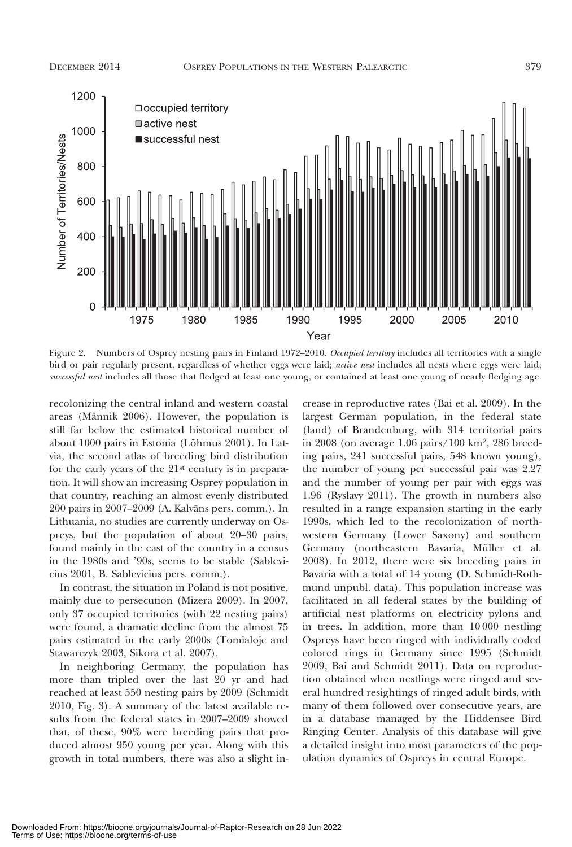### DECEMBER 2014 OSPREY POPULATIONS IN THE WESTERN PALEARCTIC 379



Figure 2. Numbers of Osprey nesting pairs in Finland 1972-2010. Occupied territory includes all territories with a single bird or pair regularly present, regardless of whether eggs were laid; active nest includes all nests where eggs were laid; successful nest includes all those that fledged at least one young, or contained at least one young of nearly fledging age.

recolonizing the central inland and western coastal areas (Männik 2006). However, the population is still far below the estimated historical number of about 1000 pairs in Estonia (Lõhmus 2001). In Latvia, the second atlas of breeding bird distribution for the early years of the 21st century is in preparation. It will show an increasing Osprey population in that country, reaching an almost evenly distributed 200 pairs in 2007–2009 (A. Kalvāns pers. comm.). In Lithuania, no studies are currently underway on Ospreys, but the population of about 20–30 pairs, found mainly in the east of the country in a census in the 1980s and '90s, seems to be stable (Sablevicius 2001, B. Sablevicius pers. comm.).

In contrast, the situation in Poland is not positive, mainly due to persecution (Mizera 2009). In 2007, only 37 occupied territories (with 22 nesting pairs) were found, a dramatic decline from the almost 75 pairs estimated in the early 2000s (Tomialojc and Stawarczyk 2003, Sikora et al. 2007).

In neighboring Germany, the population has more than tripled over the last 20 yr and had reached at least 550 nesting pairs by 2009 (Schmidt 2010, Fig. 3). A summary of the latest available results from the federal states in 2007–2009 showed that, of these, 90% were breeding pairs that produced almost 950 young per year. Along with this growth in total numbers, there was also a slight in-

crease in reproductive rates (Bai et al. 2009). In the largest German population, in the federal state (land) of Brandenburg, with 314 territorial pairs in 2008 (on average 1.06 pairs/100 km2, 286 breeding pairs, 241 successful pairs, 548 known young), the number of young per successful pair was 2.27 and the number of young per pair with eggs was 1.96 (Ryslavy 2011). The growth in numbers also resulted in a range expansion starting in the early 1990s, which led to the recolonization of northwestern Germany (Lower Saxony) and southern Germany (northeastern Bavaria, Müller et al. 2008). In 2012, there were six breeding pairs in Bavaria with a total of 14 young (D. Schmidt-Rothmund unpubl. data). This population increase was facilitated in all federal states by the building of artificial nest platforms on electricity pylons and in trees. In addition, more than 10 000 nestling Ospreys have been ringed with individually coded colored rings in Germany since 1995 (Schmidt 2009, Bai and Schmidt 2011). Data on reproduction obtained when nestlings were ringed and several hundred resightings of ringed adult birds, with many of them followed over consecutive years, are in a database managed by the Hiddensee Bird Ringing Center. Analysis of this database will give a detailed insight into most parameters of the population dynamics of Ospreys in central Europe.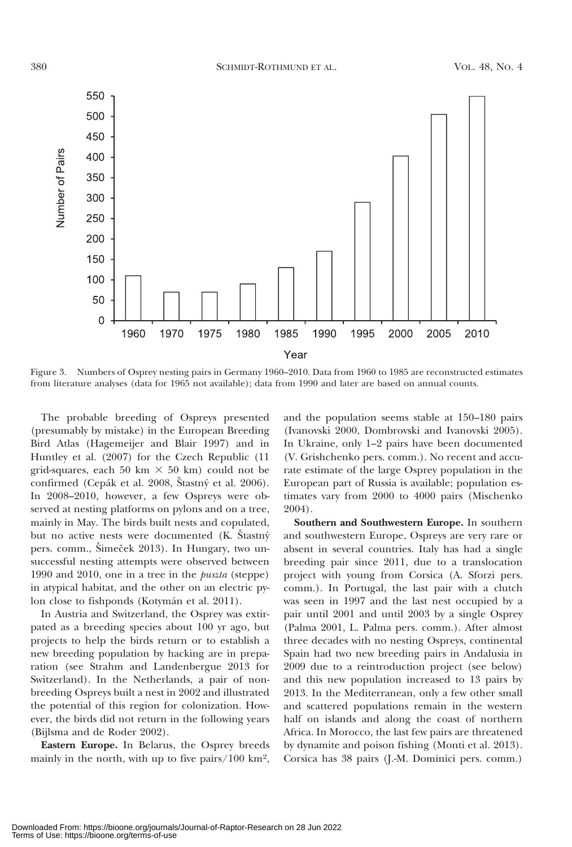

Figure 3. Numbers of Osprey nesting pairs in Germany 1960–2010. Data from 1960 to 1985 are reconstructed estimates from literature analyses (data for 1965 not available); data from 1990 and later are based on annual counts.

The probable breeding of Ospreys presented (presumably by mistake) in the European Breeding Bird Atlas (Hagemeijer and Blair 1997) and in Huntley et al. (2007) for the Czech Republic (11 grid-squares, each 50 km  $\times$  50 km) could not be confirmed (Cepák et al. 2008, Štastný et al. 2006). In 2008–2010, however, a few Ospreys were observed at nesting platforms on pylons and on a tree, mainly in May. The birds built nests and copulated, but no active nests were documented (K. Stastný pers. comm., Šimeček 2013). In Hungary, two unsuccessful nesting attempts were observed between 1990 and 2010, one in a tree in the puszta (steppe) in atypical habitat, and the other on an electric pylon close to fishponds (Kotymán et al. 2011).

In Austria and Switzerland, the Osprey was extirpated as a breeding species about 100 yr ago, but projects to help the birds return or to establish a new breeding population by hacking are in preparation (see Strahm and Landenbergue 2013 for Switzerland). In the Netherlands, a pair of nonbreeding Ospreys built a nest in 2002 and illustrated the potential of this region for colonization. However, the birds did not return in the following years (Bijlsma and de Roder 2002).

Eastern Europe. In Belarus, the Osprey breeds mainly in the north, with up to five pairs/100  $\text{km}^2$ ,

and the population seems stable at 150–180 pairs (Ivanovski 2000, Dombrovski and Ivanovski 2005). In Ukraine, only 1–2 pairs have been documented (V. Grishchenko pers. comm.). No recent and accurate estimate of the large Osprey population in the European part of Russia is available; population estimates vary from 2000 to 4000 pairs (Mischenko 2004).

Southern and Southwestern Europe. In southern and southwestern Europe, Ospreys are very rare or absent in several countries. Italy has had a single breeding pair since 2011, due to a translocation project with young from Corsica (A. Sforzi pers. comm.). In Portugal, the last pair with a clutch was seen in 1997 and the last nest occupied by a pair until 2001 and until 2003 by a single Osprey (Palma 2001, L. Palma pers. comm.). After almost three decades with no nesting Ospreys, continental Spain had two new breeding pairs in Andalusia in 2009 due to a reintroduction project (see below) and this new population increased to 13 pairs by 2013. In the Mediterranean, only a few other small and scattered populations remain in the western half on islands and along the coast of northern Africa. In Morocco, the last few pairs are threatened by dynamite and poison fishing (Monti et al. 2013). Corsica has 38 pairs (J.-M. Dominici pers. comm.)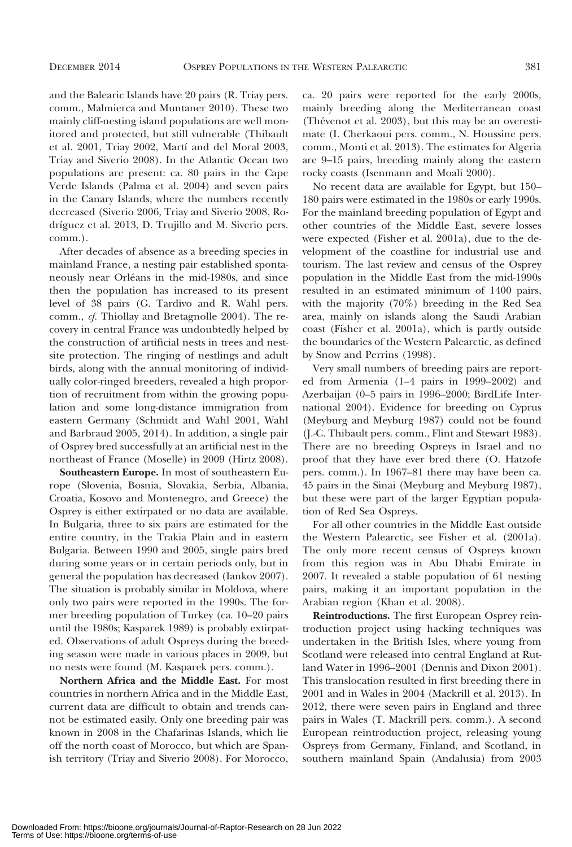and the Balearic Islands have 20 pairs (R. Triay pers. comm., Malmierca and Muntaner 2010). These two mainly cliff-nesting island populations are well monitored and protected, but still vulnerable (Thibault et al. 2001, Triay 2002, Martí and del Moral 2003, Triay and Siverio 2008). In the Atlantic Ocean two populations are present: ca. 80 pairs in the Cape Verde Islands (Palma et al. 2004) and seven pairs in the Canary Islands, where the numbers recently decreased (Siverio 2006, Triay and Siverio 2008, Rodríguez et al. 2013, D. Trujillo and M. Siverio pers. comm.).

After decades of absence as a breeding species in mainland France, a nesting pair established spontaneously near Orléans in the mid-1980s, and since then the population has increased to its present level of 38 pairs (G. Tardivo and R. Wahl pers. comm., cf. Thiollay and Bretagnolle 2004). The recovery in central France was undoubtedly helped by the construction of artificial nests in trees and nestsite protection. The ringing of nestlings and adult birds, along with the annual monitoring of individually color-ringed breeders, revealed a high proportion of recruitment from within the growing population and some long-distance immigration from eastern Germany (Schmidt and Wahl 2001, Wahl and Barbraud 2005, 2014). In addition, a single pair of Osprey bred successfully at an artificial nest in the northeast of France (Moselle) in 2009 (Hirtz 2008).

Southeastern Europe. In most of southeastern Europe (Slovenia, Bosnia, Slovakia, Serbia, Albania, Croatia, Kosovo and Montenegro, and Greece) the Osprey is either extirpated or no data are available. In Bulgaria, three to six pairs are estimated for the entire country, in the Trakia Plain and in eastern Bulgaria. Between 1990 and 2005, single pairs bred during some years or in certain periods only, but in general the population has decreased (Iankov 2007). The situation is probably similar in Moldova, where only two pairs were reported in the 1990s. The former breeding population of Turkey (ca. 10–20 pairs until the 1980s; Kasparek 1989) is probably extirpated. Observations of adult Ospreys during the breeding season were made in various places in 2009, but no nests were found (M. Kasparek pers. comm.).

Northern Africa and the Middle East. For most countries in northern Africa and in the Middle East, current data are difficult to obtain and trends cannot be estimated easily. Only one breeding pair was known in 2008 in the Chafarinas Islands, which lie off the north coast of Morocco, but which are Spanish territory (Triay and Siverio 2008). For Morocco,

ca. 20 pairs were reported for the early 2000s, mainly breeding along the Mediterranean coast (Thévenot et al. 2003), but this may be an overestimate (I. Cherkaoui pers. comm., N. Houssine pers. comm., Monti et al. 2013). The estimates for Algeria are 9–15 pairs, breeding mainly along the eastern rocky coasts (Isenmann and Moali 2000).

No recent data are available for Egypt, but 150– 180 pairs were estimated in the 1980s or early 1990s. For the mainland breeding population of Egypt and other countries of the Middle East, severe losses were expected (Fisher et al. 2001a), due to the development of the coastline for industrial use and tourism. The last review and census of the Osprey population in the Middle East from the mid-1990s resulted in an estimated minimum of 1400 pairs, with the majority (70%) breeding in the Red Sea area, mainly on islands along the Saudi Arabian coast (Fisher et al. 2001a), which is partly outside the boundaries of the Western Palearctic, as defined by Snow and Perrins (1998).

Very small numbers of breeding pairs are reported from Armenia (1–4 pairs in 1999–2002) and Azerbaijan (0–5 pairs in 1996–2000; BirdLife International 2004). Evidence for breeding on Cyprus (Meyburg and Meyburg 1987) could not be found (J.-C. Thibault pers. comm., Flint and Stewart 1983). There are no breeding Ospreys in Israel and no proof that they have ever bred there (O. Hatzofe pers. comm.). In 1967–81 there may have been ca. 45 pairs in the Sinai (Meyburg and Meyburg 1987), but these were part of the larger Egyptian population of Red Sea Ospreys.

For all other countries in the Middle East outside the Western Palearctic, see Fisher et al. (2001a). The only more recent census of Ospreys known from this region was in Abu Dhabi Emirate in 2007. It revealed a stable population of 61 nesting pairs, making it an important population in the Arabian region (Khan et al. 2008).

Reintroductions. The first European Osprey reintroduction project using hacking techniques was undertaken in the British Isles, where young from Scotland were released into central England at Rutland Water in 1996–2001 (Dennis and Dixon 2001). This translocation resulted in first breeding there in 2001 and in Wales in 2004 (Mackrill et al. 2013). In 2012, there were seven pairs in England and three pairs in Wales (T. Mackrill pers. comm.). A second European reintroduction project, releasing young Ospreys from Germany, Finland, and Scotland, in southern mainland Spain (Andalusia) from 2003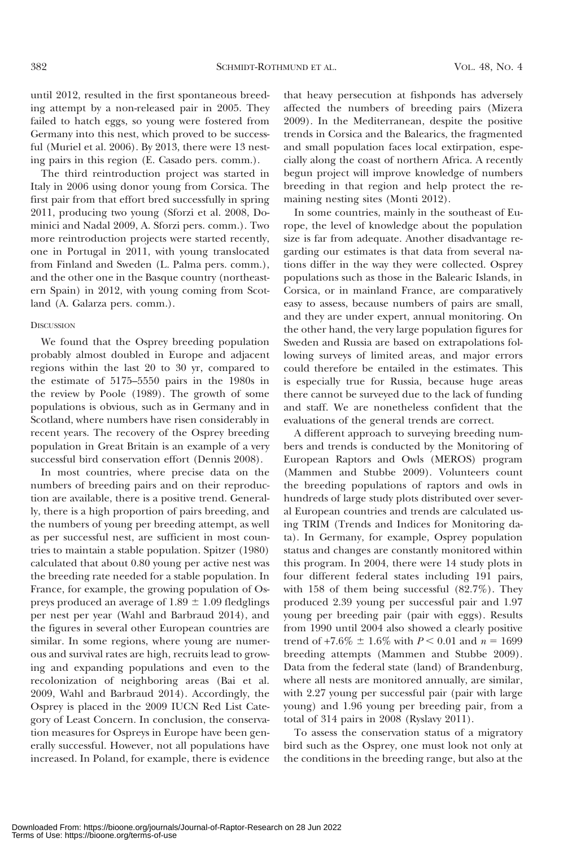until 2012, resulted in the first spontaneous breeding attempt by a non-released pair in 2005. They failed to hatch eggs, so young were fostered from Germany into this nest, which proved to be successful (Muriel et al. 2006). By 2013, there were 13 nesting pairs in this region (E. Casado pers. comm.).

The third reintroduction project was started in Italy in 2006 using donor young from Corsica. The first pair from that effort bred successfully in spring 2011, producing two young (Sforzi et al. 2008, Dominici and Nadal 2009, A. Sforzi pers. comm.). Two more reintroduction projects were started recently, one in Portugal in 2011, with young translocated from Finland and Sweden (L. Palma pers. comm.), and the other one in the Basque country (northeastern Spain) in 2012, with young coming from Scotland (A. Galarza pers. comm.).

### **DISCUSSION**

We found that the Osprey breeding population probably almost doubled in Europe and adjacent regions within the last 20 to 30 yr, compared to the estimate of 5175–5550 pairs in the 1980s in the review by Poole (1989). The growth of some populations is obvious, such as in Germany and in Scotland, where numbers have risen considerably in recent years. The recovery of the Osprey breeding population in Great Britain is an example of a very successful bird conservation effort (Dennis 2008).

In most countries, where precise data on the numbers of breeding pairs and on their reproduction are available, there is a positive trend. Generally, there is a high proportion of pairs breeding, and the numbers of young per breeding attempt, as well as per successful nest, are sufficient in most countries to maintain a stable population. Spitzer (1980) calculated that about 0.80 young per active nest was the breeding rate needed for a stable population. In France, for example, the growing population of Ospreys produced an average of  $1.89 \pm 1.09$  fledglings per nest per year (Wahl and Barbraud 2014), and the figures in several other European countries are similar. In some regions, where young are numerous and survival rates are high, recruits lead to growing and expanding populations and even to the recolonization of neighboring areas (Bai et al. 2009, Wahl and Barbraud 2014). Accordingly, the Osprey is placed in the 2009 IUCN Red List Category of Least Concern. In conclusion, the conservation measures for Ospreys in Europe have been generally successful. However, not all populations have increased. In Poland, for example, there is evidence

that heavy persecution at fishponds has adversely affected the numbers of breeding pairs (Mizera 2009). In the Mediterranean, despite the positive trends in Corsica and the Balearics, the fragmented and small population faces local extirpation, especially along the coast of northern Africa. A recently begun project will improve knowledge of numbers breeding in that region and help protect the remaining nesting sites (Monti 2012).

In some countries, mainly in the southeast of Europe, the level of knowledge about the population size is far from adequate. Another disadvantage regarding our estimates is that data from several nations differ in the way they were collected. Osprey populations such as those in the Balearic Islands, in Corsica, or in mainland France, are comparatively easy to assess, because numbers of pairs are small, and they are under expert, annual monitoring. On the other hand, the very large population figures for Sweden and Russia are based on extrapolations following surveys of limited areas, and major errors could therefore be entailed in the estimates. This is especially true for Russia, because huge areas there cannot be surveyed due to the lack of funding and staff. We are nonetheless confident that the evaluations of the general trends are correct.

A different approach to surveying breeding numbers and trends is conducted by the Monitoring of European Raptors and Owls (MEROS) program (Mammen and Stubbe 2009). Volunteers count the breeding populations of raptors and owls in hundreds of large study plots distributed over several European countries and trends are calculated using TRIM (Trends and Indices for Monitoring data). In Germany, for example, Osprey population status and changes are constantly monitored within this program. In 2004, there were 14 study plots in four different federal states including 191 pairs, with 158 of them being successful (82.7%). They produced 2.39 young per successful pair and 1.97 young per breeding pair (pair with eggs). Results from 1990 until 2004 also showed a clearly positive trend of  $+7.6\% \pm 1.6\%$  with  $P < 0.01$  and  $n = 1699$ breeding attempts (Mammen and Stubbe 2009). Data from the federal state (land) of Brandenburg, where all nests are monitored annually, are similar, with 2.27 young per successful pair (pair with large young) and 1.96 young per breeding pair, from a total of 314 pairs in 2008 (Ryslavy 2011).

To assess the conservation status of a migratory bird such as the Osprey, one must look not only at the conditions in the breeding range, but also at the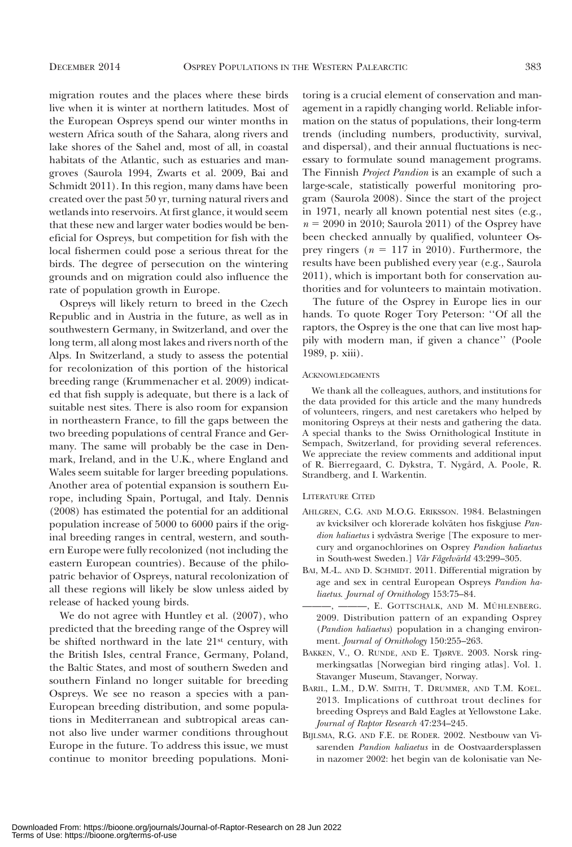migration routes and the places where these birds live when it is winter at northern latitudes. Most of the European Ospreys spend our winter months in western Africa south of the Sahara, along rivers and lake shores of the Sahel and, most of all, in coastal habitats of the Atlantic, such as estuaries and mangroves (Saurola 1994, Zwarts et al. 2009, Bai and Schmidt 2011). In this region, many dams have been created over the past 50 yr, turning natural rivers and wetlands into reservoirs. At first glance, it would seem that these new and larger water bodies would be beneficial for Ospreys, but competition for fish with the local fishermen could pose a serious threat for the birds. The degree of persecution on the wintering grounds and on migration could also influence the rate of population growth in Europe.

Ospreys will likely return to breed in the Czech Republic and in Austria in the future, as well as in southwestern Germany, in Switzerland, and over the long term, all along most lakes and rivers north of the Alps. In Switzerland, a study to assess the potential for recolonization of this portion of the historical breeding range (Krummenacher et al. 2009) indicated that fish supply is adequate, but there is a lack of suitable nest sites. There is also room for expansion in northeastern France, to fill the gaps between the two breeding populations of central France and Germany. The same will probably be the case in Denmark, Ireland, and in the U.K., where England and Wales seem suitable for larger breeding populations. Another area of potential expansion is southern Europe, including Spain, Portugal, and Italy. Dennis (2008) has estimated the potential for an additional population increase of 5000 to 6000 pairs if the original breeding ranges in central, western, and southern Europe were fully recolonized (not including the eastern European countries). Because of the philopatric behavior of Ospreys, natural recolonization of all these regions will likely be slow unless aided by release of hacked young birds.

We do not agree with Huntley et al. (2007), who predicted that the breeding range of the Osprey will be shifted northward in the late 21st century, with the British Isles, central France, Germany, Poland, the Baltic States, and most of southern Sweden and southern Finland no longer suitable for breeding Ospreys. We see no reason a species with a pan-European breeding distribution, and some populations in Mediterranean and subtropical areas cannot also live under warmer conditions throughout Europe in the future. To address this issue, we must continue to monitor breeding populations. Moni-

toring is a crucial element of conservation and management in a rapidly changing world. Reliable information on the status of populations, their long-term trends (including numbers, productivity, survival, and dispersal), and their annual fluctuations is necessary to formulate sound management programs. The Finnish Project Pandion is an example of such a large-scale, statistically powerful monitoring program (Saurola 2008). Since the start of the project in 1971, nearly all known potential nest sites (e.g.,  $n = 2090$  in 2010; Saurola 2011) of the Osprey have been checked annually by qualified, volunteer Osprey ringers ( $n = 117$  in 2010). Furthermore, the results have been published every year (e.g., Saurola 2011), which is important both for conservation authorities and for volunteers to maintain motivation.

The future of the Osprey in Europe lies in our hands. To quote Roger Tory Peterson: ''Of all the raptors, the Osprey is the one that can live most happily with modern man, if given a chance'' (Poole 1989, p. xiii).

### **ACKNOWLEDGMENTS**

We thank all the colleagues, authors, and institutions for the data provided for this article and the many hundreds of volunteers, ringers, and nest caretakers who helped by monitoring Ospreys at their nests and gathering the data. A special thanks to the Swiss Ornithological Institute in Sempach, Switzerland, for providing several references. We appreciate the review comments and additional input of R. Bierregaard, C. Dykstra, T. Nygård, A. Poole, R. Strandberg, and I. Warkentin.

### LITERATURE CITED

- AHLGREN, C.G. AND M.O.G. ERIKSSON. 1984. Belastningen av kvicksilver och klorerade kolväten hos fiskgjuse Pandion haliaetus i sydvästra Sverige [The exposure to mercury and organochlorines on Osprey Pandion haliaetus in South-west Sweden.] Vår Fågelvärld 43:299-305.
- BAI, M.-L. AND D. SCHMIDT. 2011. Differential migration by age and sex in central European Ospreys Pandion haliaetus. Journal of Ornithology 153:75–84.
- -, ---, E. GOTTSCHALK, AND M. MÜHLENBERG. 2009. Distribution pattern of an expanding Osprey (Pandion haliaetus) population in a changing environment. Journal of Ornithology 150:255-263.
- BAKKEN, V., O. RUNDE, AND E. TJøRVE. 2003. Norsk ringmerkingsatlas [Norwegian bird ringing atlas]. Vol. 1. Stavanger Museum, Stavanger, Norway.
- BARIL, L.M., D.W. SMITH, T. DRUMMER, AND T.M. KOEL. 2013. Implications of cutthroat trout declines for breeding Ospreys and Bald Eagles at Yellowstone Lake. Journal of Raptor Research 47:234–245.
- BIJLSMA, R.G. AND F.E. DE RODER. 2002. Nestbouw van Visarenden Pandion haliaetus in de Oostvaardersplassen in nazomer 2002: het begin van de kolonisatie van Ne-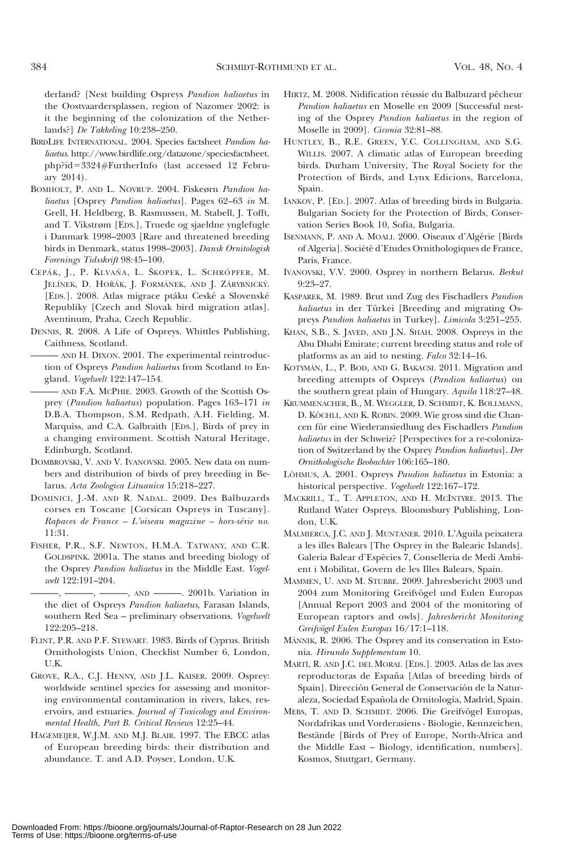derland? [Nest building Ospreys Pandion haliaetus in the Oostvaardersplassen, region of Nazomer 2002: is it the beginning of the colonization of the Netherlands?] De Takkeling 10:238–250.

- BIRDLIFE INTERNATIONAL. 2004. Species factsheet Pandion haliaetus. http://www.birdlife.org/datazone/speciesfactsheet. php?id53324#FurtherInfo (last accessed 12 February 2014).
- BOMHOLT, P. AND L. NOVRUP. 2004. Fiskeørn Pandion haliaetus [Osprey Pandion haliaetus]. Pages 62–63 in M. Grell, H. Heldberg, B. Rasmussen, M. Stabell, J. Tofft, and T. Vikstrøm [EDS.], Truede og sjaeldne ynglefugle i Danmark 1998–2003 [Rare and threatened breeding birds in Denmark, status 1998–2003]. Dansk Ornitologisk Forenings Tidsskrift 98:45–100.
- CEPÁK, J., P. KLVAŇA, L. ŠKOPEK, L. SCHRÖPFER, M. JELÍNEK, D. HOŘÁK, J. FORMÁNEK, AND J. ZÁRYBNICKÝ. [EDS.]. 2008. Atlas migrace ptáku Ceské a Slovenské Republiky [Czech and Slovak bird migration atlas]. Aventinum, Praha, Czech Republic.
- DENNIS, R. 2008. A Life of Ospreys. Whittles Publishing, Caithness, Scotland.
- AND H. DIXON. 2001. The experimental reintroduction of Ospreys Pandion haliaetus from Scotland to England. Vogelwelt 122:147–154.
- ——— AND F.A. MCPHIE. 2003. Growth of the Scottish Osprey (Pandion haliaetus) population. Pages 163–171 in D.B.A. Thompson, S.M. Redpath, A.H. Fielding, M. Marquiss, and C.A. Galbraith [EDS.], Birds of prey in a changing environment. Scottish Natural Heritage, Edinburgh, Scotland.
- DOMBROVSKI, V. AND V. IVANOVSKI. 2005. New data on numbers and distribution of birds of prey breeding in Belarus. Acta Zoologica Lituanica 15:218–227.
- DOMINICI, J.-M. AND R. NADAL. 2009. Des Balbuzards corses en Toscane [Corsican Ospreys in Tuscany].  $Rapaces de France - L'oiseau magazine - hors-série no.$ 11:31.
- FISHER, P.R., S.F. NEWTON, H.M.A. TATWANY, AND C.R. GOLDSPINK. 2001a. The status and breeding biology of the Osprey Pandion haliaetus in the Middle East. Vogelwelt 122:191–204.

———, ———, ———, AND ———. 2001b. Variation in the diet of Ospreys Pandion haliaetus, Farasan Islands, southern Red Sea – preliminary observations. Vogelwelt 122:205–218.

- FLINT, P.R. AND P.F. STEWART. 1983. Birds of Cyprus. British Ornithologists Union, Checklist Number 6, London, U.K.
- GROVE, R.A., C.J. HENNY, AND J.L. KAISER. 2009. Osprey: worldwide sentinel species for assessing and monitoring environmental contamination in rivers, lakes, reservoirs, and estuaries. Journal of Toxicology and Environmental Health, Part B. Critical Reviews 12:25–44.
- HAGEMEIJER, W.J.M. AND M.J. BLAIR. 1997. The EBCC atlas of European breeding birds: their distribution and abundance. T. and A.D. Poyser, London, U.K.
- HIRTZ, M. 2008. Nidification réussie du Balbuzard pêcheur Pandion haliaetus en Moselle en 2009 [Successful nesting of the Osprey Pandion haliaetus in the region of Moselle in 2009]. Ciconia 32:81–88.
- HUNTLEY, B., R.E. GREEN, Y.C. COLLINGHAM, AND S.G. WILLIS. 2007. A climatic atlas of European breeding birds. Durham University, The Royal Society for the Protection of Birds, and Lynx Edicions, Barcelona, Spain.
- IANKOV, P. [ED.]. 2007. Atlas of breeding birds in Bulgaria. Bulgarian Society for the Protection of Birds, Conservation Series Book 10, Sofia, Bulgaria.
- ISENMANN, P. AND A. MOALI. 2000. Oiseaux d'Algérie [Birds] of Algeria]. Société d'Etudes Ornithologiques de France, Paris, France.
- IVANOVSKI, V.V. 2000. Osprey in northern Belarus. Berkut 9:23–27.
- KASPAREK, M. 1989. Brut und Zug des Fischadlers Pandion haliaetus in der Türkei [Breeding and migrating Ospreys Pandion haliaetus in Turkey]. Limicola 3:251–255.
- KHAN, S.B., S. JAVED, AND J.N. SHAH. 2008. Ospreys in the Abu Dhabi Emirate; current breeding status and role of platforms as an aid to nesting. Falco 32:14–16.
- KOTYMÁN, L., P. BOD, AND G. BAKACSI. 2011. Migration and breeding attempts of Ospreys (Pandion haliaetus) on the southern great plain of Hungary. Aquila 118:27–48.
- KRUMMENACHER, B., M. WEGGLER, D. SCHMIDT, K. BOLLMANN, D. KÖCHLI, AND K. ROBIN. 2009. Wie gross sind die Chancen für eine Wiederansiedlung des Fischadlers Pandion haliaetus in der Schweiz? [Perspectives for a re-colonization of Switzerland by the Osprey Pandion haliaetus]. Der Ornithologische Beobachter 106:165–180.
- LÕHMUS, A. 2001. Ospreys Pandion haliaetus in Estonia: a historical perspective. Vogelwelt 122:167–172.
- MACKRILL, T., T. APPLETON, AND H. MCINTYRE. 2013. The Rutland Water Ospreys. Bloomsbury Publishing, London, U.K.
- MALMIERCA, J.C. AND J. MUNTANER. 2010. L'Aguila peixatera a les illes Balears [The Osprey in the Balearic Islands]. Galeria Balear d'Espe`cies 7, Conselleria de Medi Ambient i Mobilitat, Govern de les Illes Balears, Spain.
- MAMMEN, U. AND M. STUBBE. 2009. Jahresbericht 2003 und 2004 zum Monitoring Greifvögel und Eulen Europas [Annual Report 2003 and 2004 of the monitoring of European raptors and owls]. Jahresbericht Monitoring Greifvögel Eulen Europas 16/17:1-118.
- MÄNNIK, R. 2006. The Osprey and its conservation in Estonia. Hirundo Supplementum 10.
- MARTI´, R. AND J.C. DEL MORAL [EDS.]. 2003. Atlas de las aves reproductoras de España [Atlas of breeding birds of Spain]. Dirección General de Conservación de la Naturaleza, Sociedad Española de Ornitología, Madrid, Spain.
- MEBS, T. AND D. SCHMIDT. 2006. Die Greifvögel Europas, Nordafrikas und Vorderasiens - Biologie, Kennzeichen, Bestände [Birds of Prey of Europe, North-Africa and the Middle East – Biology, identification, numbers]. Kosmos, Stuttgart, Germany.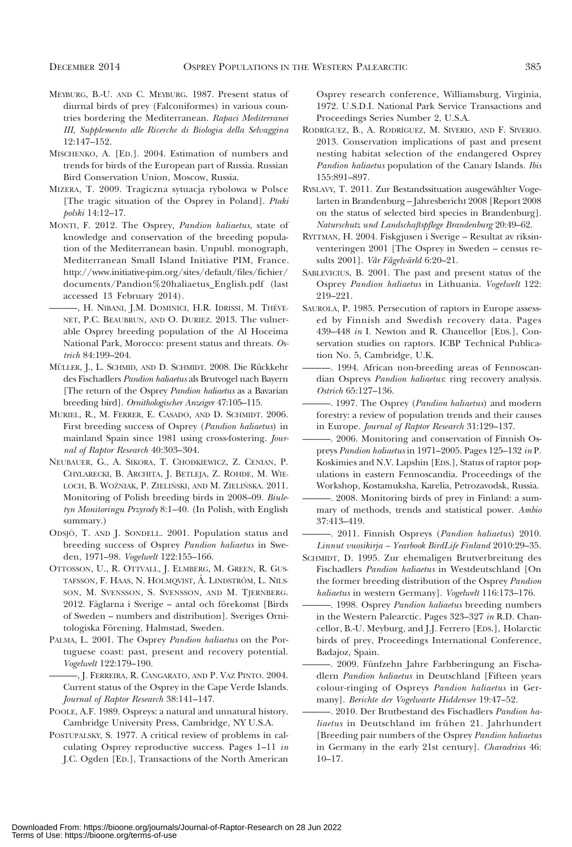- MEYBURG, B.-U. AND C. MEYBURG. 1987. Present status of diurnal birds of prey (Falconiformes) in various countries bordering the Mediterranean. Rapaci Mediterranei III, Supplemento alle Ricerche di Biologia della Selvaggina 12:147–152.
- MISCHENKO, A. [ED.]. 2004. Estimation of numbers and trends for birds of the European part of Russia. Russian Bird Conservation Union, Moscow, Russia.
- MIZERA, T. 2009. Tragiczna sytuacja rybolowa w Polsce [The tragic situation of the Osprey in Poland]. Ptaki polski 14:12–17.
- MONTI, F. 2012. The Osprey, Pandion haliaetus, state of knowledge and conservation of the breeding population of the Mediterranean basin. Unpubl. monograph, Mediterranean Small Island Initiative PIM, France. http://www.initiative-pim.org/sites/default/files/fichier/ documents/Pandion%20haliaetus\_English.pdf (last accessed 13 February 2014).
- ———, H. NIBANI, J.M. DOMINICI, H.R. IDRISSI, M. THE´VE-NET, P.C. BEAUBRUN, AND O. DURIEZ. 2013. The vulnerable Osprey breeding population of the Al Hoceima National Park, Morocco: present status and threats. Ostrich 84:199–204.
- MÜLLER, J., L. SCHMID, AND D. SCHMIDT. 2008. Die Rückkehr des Fischadlers Pandion haliaetus als Brutvogel nach Bayern [The return of the Osprey Pandion haliaetus as a Bavarian breeding bird]. Ornithologischer Anzeiger 47:105–115.
- MURIEL, R., M. FERRER, E. CASADO, AND D. SCHMIDT. 2006. First breeding success of Osprey (Pandion haliaetus) in mainland Spain since 1981 using cross-fostering. Journal of Raptor Research 40:303–304.
- NEUBAUER, G., A. SIKORA, T. CHODKIEWICZ, Z. CENIAN, P. CHYLARECKI, B. ARCHITA, J. BETLEJA, Z. ROHDE, M. WIE-LOCH, B. WOŹNIAK, P. ZIELIŃSKI, AND M. ZIELIŃSKA. 2011. Monitoring of Polish breeding birds in 2008–09. Biuletyn Monitoringu Przyrody 8:1–40. (In Polish, with English summary.)
- ODSJÖ, T. AND J. SONDELL. 2001. Population status and breeding success of Osprey Pandion haliaetus in Sweden, 1971–98. Vogelwelt 122:155–166.
- OTTOSSON, U., R. OTTVALL, J. ELMBERG, M. GREEN, R. GUS-TAFSSON, F. HAAS, N. HOLMQVIST, A. LINDSTRÖM, L. NILS-SON, M. SVENSSON, S. SVENSSON, AND M. TJERNBERG. 2012. Fåglarna i Sverige – antal och förekomst [Birds of Sweden – numbers and distribution]. Sveriges Ornitologiska Förening, Halmstad, Sweden.
- PALMA, L. 2001. The Osprey Pandion haliaetus on the Portuguese coast: past, present and recovery potential. Vogelwelt 122:179–190.
- ———, J. FERREIRA, R. CANGARATO, AND P. VAZ PINTO. 2004. Current status of the Osprey in the Cape Verde Islands. Journal of Raptor Research 38:141–147.
- POOLE, A.F. 1989. Ospreys: a natural and unnatural history. Cambridge University Press, Cambridge, NY U.S.A.
- POSTUPALSKY, S. 1977. A critical review of problems in calculating Osprey reproductive success. Pages 1–11 in J.C. Ogden [ED.], Transactions of the North American

Osprey research conference, Williamsburg, Virginia, 1972. U.S.D.I. National Park Service Transactions and Proceedings Series Number 2, U.S.A.

- RODRI´GUEZ, B., A. RODRI´GUEZ, M. SIVERIO, AND F. SIVERIO. 2013. Conservation implications of past and present nesting habitat selection of the endangered Osprey Pandion haliaetus population of the Canary Islands. Ibis 155:891–897.
- RYSLAVY, T. 2011. Zur Bestandssituation ausgewählter Vogelarten in Brandenburg – Jahresbericht 2008 [Report 2008 on the status of selected bird species in Brandenburg]. Naturschutz und Landschaftspflege Brandenburg 20:49–62.
- RYTTMAN, H. 2004. Fiskgjusen i Sverige Resultat av riksinventeringen 2001 [The Osprey in Sweden – census results 2001]. Vår Fågelvärld 6:20–21.
- SABLEVICIUS, B. 2001. The past and present status of the Osprey Pandion haliaetus in Lithuania. Vogelwelt 122: 219–221.
- SAUROLA, P. 1985. Persecution of raptors in Europe assessed by Finnish and Swedish recovery data. Pages 439–448 in I. Newton and R. Chancellor [EDS.], Conservation studies on raptors. ICBP Technical Publication No. 5, Cambridge, U.K.
- ———. 1994. African non-breeding areas of Fennoscandian Ospreys Pandion haliaetus: ring recovery analysis. Ostrich 65:127–136.
- -. 1997. The Osprey (Pandion haliaetus) and modern forestry: a review of population trends and their causes in Europe. Journal of Raptor Research 31:129–137.
- ———. 2006. Monitoring and conservation of Finnish Ospreys Pandion haliaetus in 1971–2005. Pages 125–132 in P. Koskimies and N.V. Lapshin [EDS.], Status of raptor populations in eastern Fennoscandia. Proceedings of the Workshop, Kostamuksha, Karelia, Petrozavodsk, Russia.
- ———. 2008. Monitoring birds of prey in Finland: a summary of methods, trends and statistical power. Ambio 37:413–419.
- ———. 2011. Finnish Ospreys (Pandion haliaetus) 2010. Linnut vuosikirja – Yearbook BirdLife Finland 2010:29–35.
- SCHMIDT, D. 1995. Zur ehemaligen Brutverbreitung des Fischadlers Pandion haliaetus in Westdeutschland [On the former breeding distribution of the Osprey Pandion haliaetus in western Germany]. Vogelwelt 116:173–176.
- -. 1998. Osprey Pandion haliaetus breeding numbers in the Western Palearctic. Pages 323–327 in R.D. Chancellor, B.-U. Meyburg, and J.J. Ferrero [EDS.], Holarctic birds of prey, Proceedings International Conference, Badajoz, Spain.
- -. 2009. Fünfzehn Jahre Farbberingung an Fischadlern Pandion haliaetus in Deutschland [Fifteen years colour-ringing of Ospreys Pandion haliaetus in Germany]. Berichte der Vogelwarte Hiddensee 19:47–52.
- -. 2010. Der Brutbestand des Fischadlers Pandion haliaetus in Deutschland im frühen 21. Jahrhundert [Breeding pair numbers of the Osprey Pandion haliaetus in Germany in the early 21st century]. Charadrius 46: 10–17.